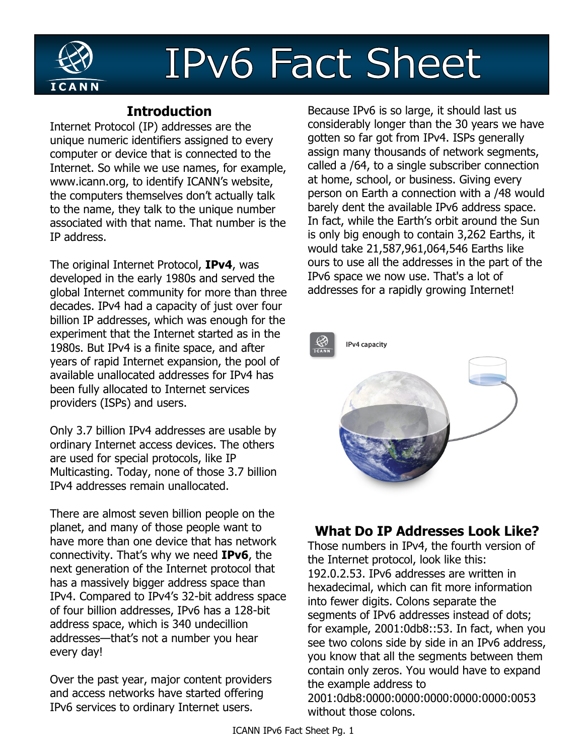

# **IPv6 Fact Sheet**

## **Introduction**

Internet Protocol (IP) addresses are the unique numeric identifiers assigned to every computer or device that is connected to the Internet. So while we use names, for example, www.icann.org, to identify ICANN's website, the computers themselves don't actually talk to the name, they talk to the unique number associated with that name. That number is the IP address.

The original Internet Protocol, **IPv4**, was developed in the early 1980s and served the global Internet community for more than three decades. IPv4 had a capacity of just over four billion IP addresses, which was enough for the experiment that the Internet started as in the 1980s. But IPv4 is a finite space, and after years of rapid Internet expansion, the pool of available unallocated addresses for IPv4 has been fully allocated to Internet services providers (ISPs) and users.

Only 3.7 billion IPv4 addresses are usable by ordinary Internet access devices. The others are used for special protocols, like IP Multicasting. Today, none of those 3.7 billion IPv4 addresses remain unallocated.

There are almost seven billion people on the planet, and many of those people want to have more than one device that has network connectivity. That's why we need **IPv6**, the next generation of the Internet protocol that has a massively bigger address space than IPv4. Compared to IPv4's 32-bit address space of four billion addresses, IPv6 has a 128-bit address space, which is 340 undecillion addresses—that's not a number you hear every day!

Over the past year, major content providers and access networks have started offering IPv6 services to ordinary Internet users.

Because IPv6 is so large, it should last us considerably longer than the 30 years we have gotten so far got from IPv4. ISPs generally assign many thousands of network segments, called a /64, to a single subscriber connection at home, school, or business. Giving every person on Earth a connection with a /48 would barely dent the available IPv6 address space. In fact, while the Earth's orbit around the Sun is only big enough to contain 3,262 Earths, it would take 21,587,961,064,546 Earths like ours to use all the addresses in the part of the IPv6 space we now use. That's a lot of addresses for a rapidly growing Internet!



## **What Do IP Addresses Look Like?**

Those numbers in IPv4, the fourth version of the Internet protocol, look like this: 192.0.2.53. IPv6 addresses are written in hexadecimal, which can fit more information into fewer digits. Colons separate the segments of IPv6 addresses instead of dots; for example, 2001:0db8::53. In fact, when you see two colons side by side in an IPv6 address, you know that all the segments between them contain only zeros. You would have to expand the example address to 2001:0db8:0000:0000:0000:0000:0000:0053 without those colons.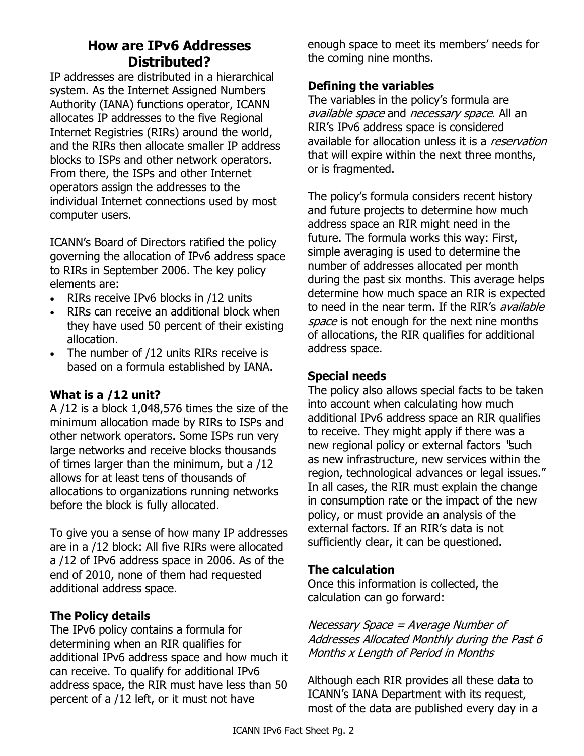## **How are IPv6 Addresses Distributed?**

IP addresses are distributed in a hierarchical system. As the Internet Assigned Numbers Authority (IANA) functions operator, ICANN allocates IP addresses to the five Regional Internet Registries (RIRs) around the world, and the RIRs then allocate smaller IP address blocks to ISPs and other network operators. From there, the ISPs and other Internet operators assign the addresses to the individual Internet connections used by most computer users.

ICANN's Board of Directors ratified the policy governing the allocation of IPv6 address space to RIRs in September 2006. The key policy elements are:

- RIRs receive IPv6 blocks in /12 units
- RIRs can receive an additional block when they have used 50 percent of their existing allocation.
- The number of /12 units RIRs receive is based on a formula established by IANA.

#### **What is a /12 unit?**

A /12 is a block 1,048,576 times the size of the minimum allocation made by RIRs to ISPs and other network operators. Some ISPs run very large networks and receive blocks thousands of times larger than the minimum, but a /12 allows for at least tens of thousands of allocations to organizations running networks before the block is fully allocated.

To give you a sense of how many IP addresses are in a /12 block: All five RIRs were allocated a /12 of IPv6 address space in 2006. As of the end of 2010, none of them had requested additional address space.

#### **The Policy details**

The IPv6 policy contains a formula for determining when an RIR qualifies for additional IPv6 address space and how much it can receive. To qualify for additional IPv6 address space, the RIR must have less than 50 percent of a /12 left, or it must not have

enough space to meet its members' needs for the coming nine months.

#### **Defining the variables**

The variables in the policy's formula are available space and necessary space. All an RIR's IPv6 address space is considered available for allocation unless it is a *reservation* that will expire within the next three months, or is fragmented.

The policy's formula considers recent history and future projects to determine how much address space an RIR might need in the future. The formula works this way: First, simple averaging is used to determine the number of addresses allocated per month during the past six months. This average helps determine how much space an RIR is expected to need in the near term. If the RIR's *available* space is not enough for the next nine months of allocations, the RIR qualifies for additional address space.

#### **Special needs**

The policy also allows special facts to be taken into account when calculating how much additional IPv6 address space an RIR qualifies to receive. They might apply if there was a new regional policy or external factors "such as new infrastructure, new services within the region, technological advances or legal issues." In all cases, the RIR must explain the change in consumption rate or the impact of the new policy, or must provide an analysis of the external factors. If an RIR's data is not sufficiently clear, it can be questioned.

#### **The calculation**

Once this information is collected, the calculation can go forward:

Necessary Space = Average Number of Addresses Allocated Monthly during the Past 6 Months x Length of Period in Months

Although each RIR provides all these data to ICANN's IANA Department with its request, most of the data are published every day in a